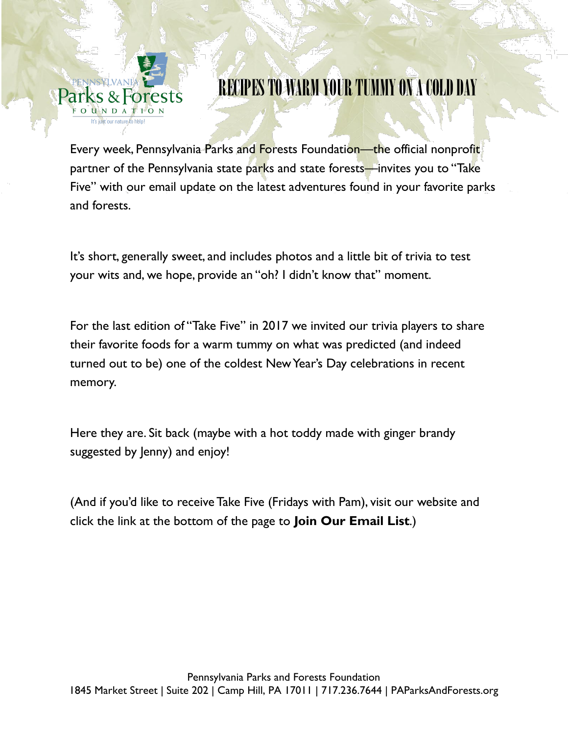

# RECIPES TO WARM YOUR TUMMY ON A COLD DAY

Every week, Pennsylvania Parks and Forests Foundation—the official nonprofit partner of the Pennsylvania state parks and state forests—invites you to "Take Five" with our email update on the latest adventures found in your favorite parks and forests.

It's short, generally sweet, and includes photos and a little bit of trivia to test your wits and, we hope, provide an "oh? I didn't know that" moment.

For the last edition of "Take Five" in 2017 we invited our trivia players to share their favorite foods for a warm tummy on what was predicted (and indeed turned out to be) one of the coldest New Year's Day celebrations in recent memory.

Here they are. Sit back (maybe with a hot toddy made with ginger brandy suggested by Jenny) and enjoy!

(And if you'd like to receive Take Five (Fridays with Pam), visit our website and click the link at the bottom of the page to **Join Our Email List**.)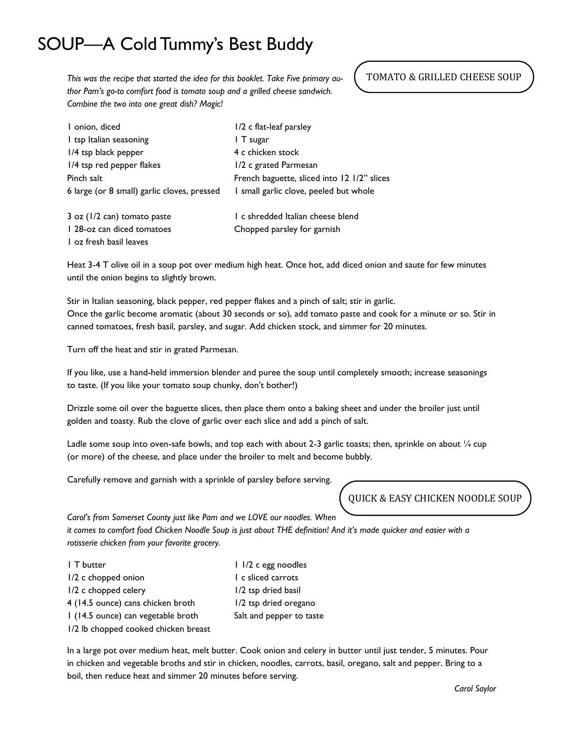## SOUP—A Cold Tummy's Best Buddy

*This was the recipe that started the idea for this booklet. Take Five primary author Pam's go-to comfort food is tomato soup and a grilled cheese sandwich. Combine the two into one great dish? Magic!*

### TOMATO & GRILLED CHEESE SOUP

| I onion, diced                              | 1/2 c flat-leaf parsley                     |
|---------------------------------------------|---------------------------------------------|
| I tsp Italian seasoning                     | I T sugar                                   |
| $1/4$ tsp black pepper                      | 4 c chicken stock                           |
| 1/4 tsp red pepper flakes                   | 1/2 c grated Parmesan                       |
| Pinch salt                                  | French baguette, sliced into 12 1/2" slices |
| 6 large (or 8 small) garlic cloves, pressed | I small garlic clove, peeled but whole      |
| $3$ oz ( $1/2$ can) tomato paste            | I c shredded Italian cheese blend           |
| 1 28-oz can diced tomatoes                  | Chopped parsley for garnish                 |
| Loz fresh basil leaves                      |                                             |

Heat 3-4 T olive oil in a soup pot over medium high heat. Once hot, add diced onion and saute for few minutes until the onion begins to slightly brown.

Stir in Italian seasoning, black pepper, red pepper flakes and a pinch of salt; stir in garlic. Once the garlic become aromatic (about 30 seconds or so), add tomato paste and cook for a minute or so. Stir in canned tomatoes, fresh basil, parsley, and sugar. Add chicken stock, and simmer for 20 minutes.

Turn off the heat and stir in grated Parmesan.

If you like, use a hand-held immersion blender and puree the soup until completely smooth; increase seasonings to taste. (If you like your tomato soup chunky, don't bother!)

Drizzle some oil over the baguette slices, then place them onto a baking sheet and under the broiler just until golden and toasty. Rub the clove of garlic over each slice and add a pinch of salt.

Ladle some soup into oven-safe bowls, and top each with about 2-3 garlic toasts; then, sprinkle on about 1/4 cup (or more) of the cheese, and place under the broiler to melt and become bubbly.

Carefully remove and garnish with a sprinkle of parsley before serving.

*Carol's from Somerset County just like Pam and we LOVE our noodles. When* 

*it comes to comfort food Chicken Noodle Soup is just about THE definition! And it's made quicker and easier with a rotisserie chicken from your favorite grocery.*

| I T butter                           | 1 1/2 c egg noodles      |
|--------------------------------------|--------------------------|
| I/2 c chopped onion                  | I c sliced carrots       |
| I/2 c chopped celery                 | 1/2 tsp dried basil      |
| 4 (14.5 ounce) cans chicken broth    | 1/2 tsp dried oregano    |
| I (14.5 ounce) can vegetable broth   | Salt and pepper to taste |
| 1/2 lb chopped cooked chicken breast |                          |

In a large pot over medium heat, melt butter. Cook onion and celery in butter until just tender, 5 minutes. Pour in chicken and vegetable broths and stir in chicken, noodles, carrots, basil, oregano, salt and pepper. Bring to a boil, then reduce heat and simmer 20 minutes before serving.

QUICK & EASY CHICKEN NOODLE SOUP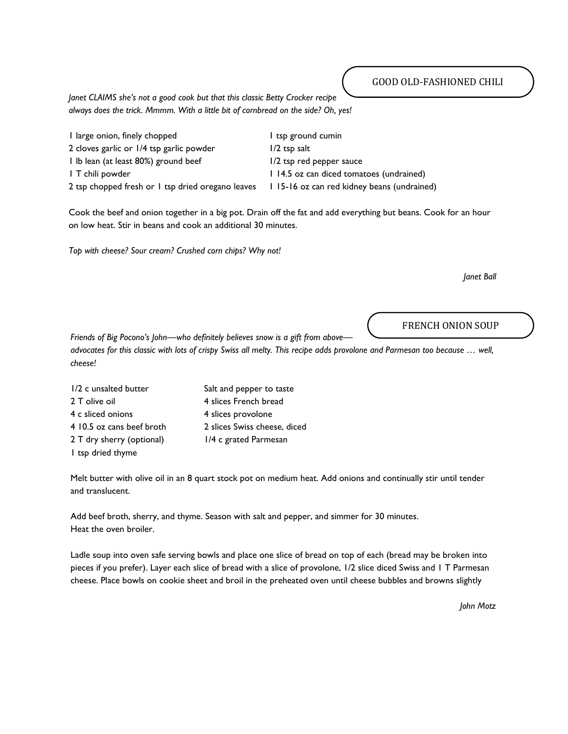*Janet CLAIMS she's not a good cook but that this classic Betty Crocker recipe always does the trick. Mmmm. With a little bit of cornbread on the side? Oh, yes!*

| I large onion, finely chopped                     | I tsp ground cumin                         |
|---------------------------------------------------|--------------------------------------------|
| 2 cloves garlic or 1/4 tsp garlic powder          | $1/2$ tsp salt                             |
| I Ib lean (at least 80%) ground beef              | 1/2 tsp red pepper sauce                   |
| I T chili powder                                  | 114.5 oz can diced tomatoes (undrained)    |
| 2 tsp chopped fresh or I tsp dried oregano leaves | 115-16 oz can red kidney beans (undrained) |

Cook the beef and onion together in a big pot. Drain off the fat and add everything but beans. Cook for an hour on low heat. Stir in beans and cook an additional 30 minutes.

*Top with cheese? Sour cream? Crushed corn chips? Why not!*

*Janet Ball*

FRENCH ONION SOUP

*Friends of Big Pocono's John—who definitely believes snow is a gift from above advocates for this classic with lots of crispy Swiss all melty. This recipe adds provolone and Parmesan too because … well, cheese!*

| 1/2 c unsalted butter     | Salt and pepper to taste     |
|---------------------------|------------------------------|
| 2 T olive oil             | 4 slices French bread        |
| 4 c sliced onions         | 4 slices provolone           |
| 4 10.5 oz cans beef broth | 2 slices Swiss cheese, diced |
| 2 T dry sherry (optional) | 1/4 c grated Parmesan        |
| I tsp dried thyme         |                              |

Melt butter with olive oil in an 8 quart stock pot on medium heat. Add onions and continually stir until tender and translucent.

Add beef broth, sherry, and thyme. Season with salt and pepper, and simmer for 30 minutes. Heat the oven broiler.

Ladle soup into oven safe serving bowls and place one slice of bread on top of each (bread may be broken into pieces if you prefer). Layer each slice of bread with a slice of provolone, 1/2 slice diced Swiss and 1 T Parmesan cheese. Place bowls on cookie sheet and broil in the preheated oven until cheese bubbles and browns slightly

*John Motz*

#### GOOD OLD-FASHIONED CHILI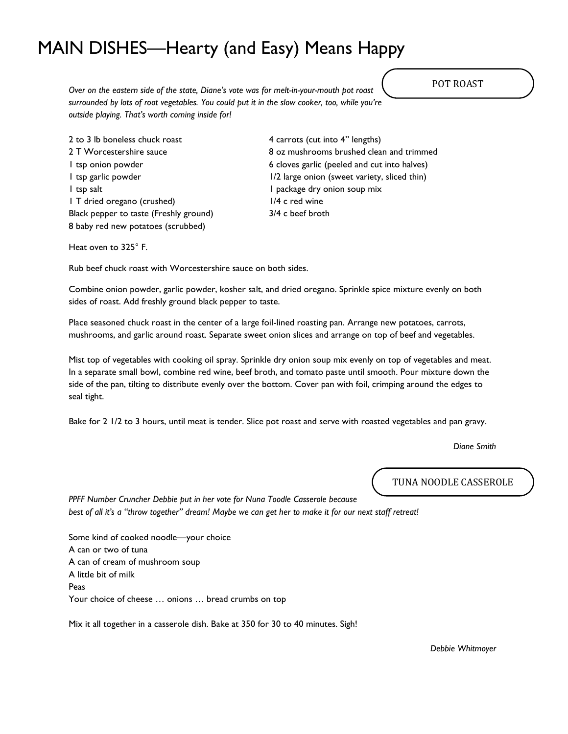## MAIN DISHES—Hearty (and Easy) Means Happy

*Over on the eastern side of the state, Diane's vote was for melt-in-your-mouth pot roast surrounded by lots of root vegetables. You could put it in the slow cooker, too, while you're outside playing. That's worth coming inside for!*

2 to 3 lb boneless chuck roast 4 carrots (cut into 4" lengths) 1 tsp salt 1 package dry onion soup mix 1 T dried oregano (crushed) 1/4 c red wine Black pepper to taste (Freshly ground) 3/4 c beef broth 8 baby red new potatoes (scrubbed)

2 T Worcestershire sauce 8 oz mushrooms brushed clean and trimmed 1 tsp onion powder 6 cloves garlic (peeled and cut into halves) 1 tsp garlic powder 1/2 large onion (sweet variety, sliced thin)

Heat oven to 325° F.

Rub beef chuck roast with Worcestershire sauce on both sides.

Combine onion powder, garlic powder, kosher salt, and dried oregano. Sprinkle spice mixture evenly on both sides of roast. Add freshly ground black pepper to taste.

Place seasoned chuck roast in the center of a large foil-lined roasting pan. Arrange new potatoes, carrots, mushrooms, and garlic around roast. Separate sweet onion slices and arrange on top of beef and vegetables.

Mist top of vegetables with cooking oil spray. Sprinkle dry onion soup mix evenly on top of vegetables and meat. In a separate small bowl, combine red wine, beef broth, and tomato paste until smooth. Pour mixture down the side of the pan, tilting to distribute evenly over the bottom. Cover pan with foil, crimping around the edges to seal tight.

Bake for 2 1/2 to 3 hours, until meat is tender. Slice pot roast and serve with roasted vegetables and pan gravy.

*Diane Smith*

TUNA NOODLE CASSEROLE

*PPFF Number Cruncher Debbie put in her vote for Nuna Toodle Casserole because best of all it's a "throw together" dream! Maybe we can get her to make it for our next staff retreat!*

Some kind of cooked noodle—your choice A can or two of tuna A can of cream of mushroom soup A little bit of milk Peas Your choice of cheese … onions … bread crumbs on top

Mix it all together in a casserole dish. Bake at 350 for 30 to 40 minutes. Sigh!

*Debbie Whitmoyer*

POT ROAST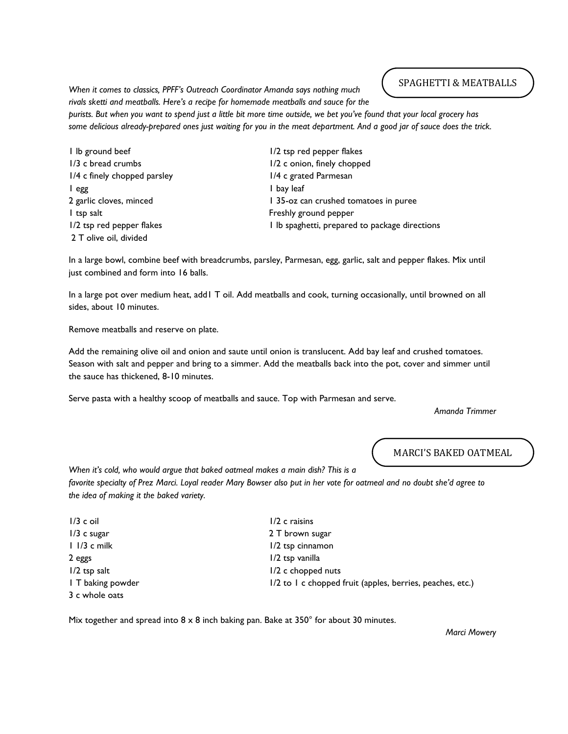*When it comes to classics, PPFF's Outreach Coordinator Amanda says nothing much rivals sketti and meatballs. Here's a recipe for homemade meatballs and sauce for the* 

#### SPAGHETTI & MEATBALLS

*purists. But when you want to spend just a little bit more time outside, we bet you've found that your local grocery has some delicious already-prepared ones just waiting for you in the meat department. And a good jar of sauce does the trick.*

| I lb ground beef             | 1/2 tsp red pepper flakes                      |
|------------------------------|------------------------------------------------|
| 1/3 c bread crumbs           | 1/2 c onion, finely chopped                    |
| 1/4 c finely chopped parsley | 1/4 c grated Parmesan                          |
| l egg                        | I bay leaf                                     |
| 2 garlic cloves, minced      | 135-oz can crushed tomatoes in puree           |
| I tsp salt                   | Freshly ground pepper                          |
| 1/2 tsp red pepper flakes    | I lb spaghetti, prepared to package directions |
| 2 T olive oil, divided       |                                                |

In a large bowl, combine beef with breadcrumbs, parsley, Parmesan, egg, garlic, salt and pepper flakes. Mix until just combined and form into 16 balls.

In a large pot over medium heat, add1 T oil. Add meatballs and cook, turning occasionally, until browned on all sides, about 10 minutes.

Remove meatballs and reserve on plate.

Add the remaining olive oil and onion and saute until onion is translucent. Add bay leaf and crushed tomatoes. Season with salt and pepper and bring to a simmer. Add the meatballs back into the pot, cover and simmer until the sauce has thickened, 8-10 minutes.

Serve pasta with a healthy scoop of meatballs and sauce. Top with Parmesan and serve.

*Amanda Trimmer*

MARCI'S BAKED OATMEAL

*When it's cold, who would argue that baked oatmeal makes a main dish? This is a* 

*favorite specialty of Prez Marci. Loyal reader Mary Bowser also put in her vote for oatmeal and no doubt she'd agree to the idea of making it the baked variety.*

1/3 c oil 1/3 c raisins 1/3 c sugar 2 T brown sugar 1 1/3 c milk 1/2 tsp cinnamon 2 eggs 1/2 tsp vanilla 3 c whole oats

1/2 tsp salt 1/2 c chopped nuts 1 T baking powder 1/2 to 1 c chopped fruit (apples, berries, peaches, etc.)

Mix together and spread into  $8 \times 8$  inch baking pan. Bake at 350 $^{\circ}$  for about 30 minutes.

*Marci Mowery*